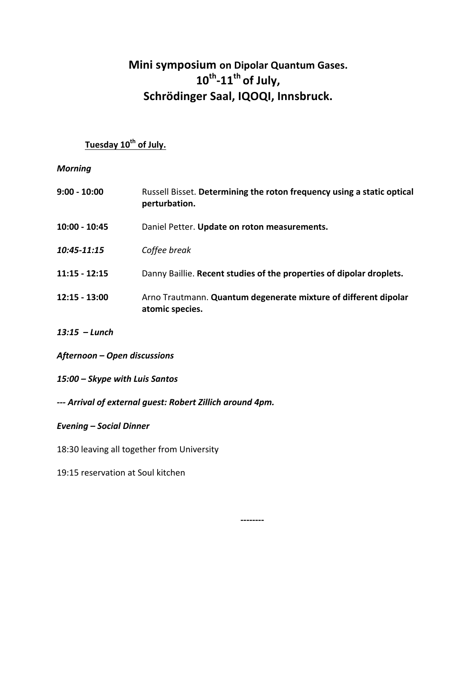# **Mini symposium on Dipolar Quantum Gases.** 10<sup>th</sup>-11<sup>th</sup> of July, Schrödinger Saal, IQOQI, Innsbruck.

## **Tuesday 10th of July.**

## *Morning*

| $9:00 - 10:00$  | Russell Bisset. Determining the roton frequency using a static optical<br>perturbation. |
|-----------------|-----------------------------------------------------------------------------------------|
| $10:00 - 10:45$ | Daniel Petter. Update on roton measurements.                                            |
| 10:45-11:15     | Coffee break                                                                            |
| $11:15 - 12:15$ | Danny Baillie. Recent studies of the properties of dipolar droplets.                    |
| $12:15 - 13:00$ | Arno Trautmann. Quantum degenerate mixture of different dipolar<br>atomic species.      |

**--------**

- *13:15 – Lunch*
- *Afternoon – Open discussions*
- *15:00 – Skype with Luis Santos*
- *--- Arrival of external guest: Robert Zillich around 4pm.*

### *Evening – Social Dinner*

18:30 leaving all together from University

19:15 reservation at Soul kitchen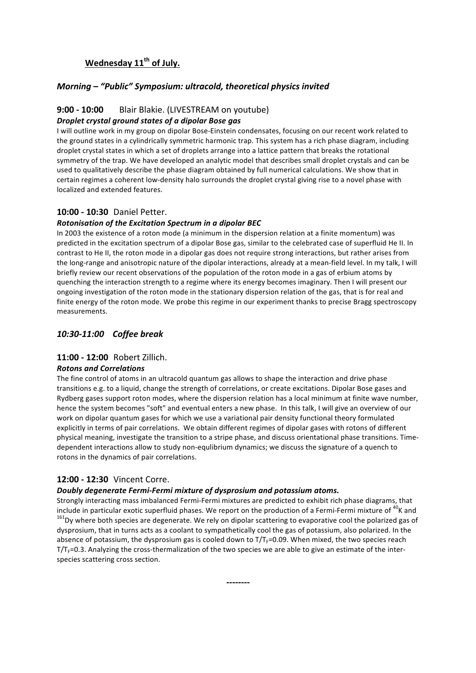## Wednesday 11<sup>th</sup> of July.

#### *Morning* – "Public" Symposium: ultracold, theoretical physics invited

## **9:00 - 10:00** Blair Blakie. (LIVESTREAM on youtube)

#### *Droplet crystal ground states of a dipolar Bose gas*

I will outline work in my group on dipolar Bose-Einstein condensates, focusing on our recent work related to the ground states in a cylindrically symmetric harmonic trap. This system has a rich phase diagram, including droplet crystal states in which a set of droplets arrange into a lattice pattern that breaks the rotational symmetry of the trap. We have developed an analytic model that describes small droplet crystals and can be used to qualitatively describe the phase diagram obtained by full numerical calculations. We show that in certain regimes a coherent low-density halo surrounds the droplet crystal giving rise to a novel phase with localized and extended features.

#### **10:00 - 10:30** Daniel Petter.

#### *Rotonisation of the Excitation Spectrum in a dipolar BEC*

In 2003 the existence of a roton mode (a minimum in the dispersion relation at a finite momentum) was predicted in the excitation spectrum of a dipolar Bose gas, similar to the celebrated case of superfluid He II. In contrast to He II, the roton mode in a dipolar gas does not require strong interactions, but rather arises from the long-range and anisotropic nature of the dipolar interactions, already at a mean-field level. In my talk, I will briefly review our recent observations of the population of the roton mode in a gas of erbium atoms by quenching the interaction strength to a regime where its energy becomes imaginary. Then I will present our ongoing investigation of the roton mode in the stationary dispersion relation of the gas, that is for real and finite energy of the roton mode. We probe this regime in our experiment thanks to precise Bragg spectroscopy measurements.

#### *10:30-11:00 Coffee break*

#### **11:00 - 12:00** Robert Zillich.

#### *Rotons and Correlations*

The fine control of atoms in an ultracold quantum gas allows to shape the interaction and drive phase transitions e.g. to a liquid, change the strength of correlations, or create excitations. Dipolar Bose gases and Rydberg gases support roton modes, where the dispersion relation has a local minimum at finite wave number, hence the system becomes "soft" and eventual enters a new phase. In this talk, I will give an overview of our work on dipolar quantum gases for which we use a variational pair density functional theory formulated explicitly in terms of pair correlations. We obtain different regimes of dipolar gases with rotons of different physical meaning, investigate the transition to a stripe phase, and discuss orientational phase transitions. Timedependent interactions allow to study non-equlibrium dynamics; we discuss the signature of a quench to rotons in the dynamics of pair correlations.

#### **12:00 - 12:30 Vincent Corre.**

#### *Doubly degenerate Fermi-Fermi mixture of dysprosium and potassium atoms.*

Strongly interacting mass imbalanced Fermi-Fermi mixtures are predicted to exhibit rich phase diagrams, that include in particular exotic superfluid phases. We report on the production of a Fermi-Fermi mixture of <sup>40</sup>K and  $^{161}$ Dy where both species are degenerate. We rely on dipolar scattering to evaporative cool the polarize dysprosium, that in turns acts as a coolant to sympathetically cool the gas of potassium, also polarized. In the absence of potassium, the dysprosium gas is cooled down to  $T/T_F=0.09$ . When mixed, the two species reach  $T/T_F=0.3$ . Analyzing the cross-thermalization of the two species we are able to give an estimate of the interspecies scattering cross section.

**--------**